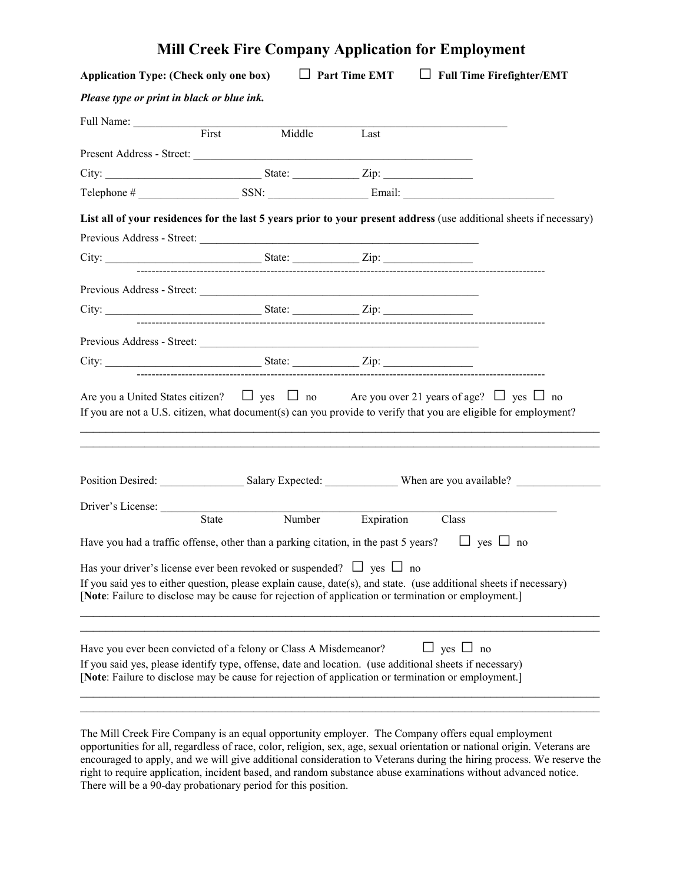|                                                                                                                                                                                                                                                                                                             |                                                                                   | <b>Mill Creek Fire Company Application for Employment</b> |  |
|-------------------------------------------------------------------------------------------------------------------------------------------------------------------------------------------------------------------------------------------------------------------------------------------------------------|-----------------------------------------------------------------------------------|-----------------------------------------------------------|--|
| Application Type: (Check only one box) $\Box$ Part Time EMT $\Box$ Full Time Firefighter/EMT                                                                                                                                                                                                                |                                                                                   |                                                           |  |
| Please type or print in black or blue ink.                                                                                                                                                                                                                                                                  |                                                                                   |                                                           |  |
| Full Name: First                                                                                                                                                                                                                                                                                            |                                                                                   |                                                           |  |
|                                                                                                                                                                                                                                                                                                             | Middle Last                                                                       |                                                           |  |
|                                                                                                                                                                                                                                                                                                             |                                                                                   |                                                           |  |
|                                                                                                                                                                                                                                                                                                             |                                                                                   |                                                           |  |
|                                                                                                                                                                                                                                                                                                             |                                                                                   |                                                           |  |
| List all of your residences for the last 5 years prior to your present address (use additional sheets if necessary)                                                                                                                                                                                         |                                                                                   |                                                           |  |
|                                                                                                                                                                                                                                                                                                             |                                                                                   |                                                           |  |
|                                                                                                                                                                                                                                                                                                             |                                                                                   |                                                           |  |
|                                                                                                                                                                                                                                                                                                             |                                                                                   |                                                           |  |
|                                                                                                                                                                                                                                                                                                             |                                                                                   |                                                           |  |
|                                                                                                                                                                                                                                                                                                             |                                                                                   |                                                           |  |
|                                                                                                                                                                                                                                                                                                             |                                                                                   |                                                           |  |
| Are you a United States citizen? $\Box$ yes $\Box$ no Are you over 21 years of age? $\Box$ yes $\Box$ no<br>If you are not a U.S. citizen, what document(s) can you provide to verify that you are eligible for employment?                                                                                 | ,我们也不能在这里的人,我们也不能在这里的人,我们也不能在这里的人,我们也不能在这里的人,我们也不能在这里的人,我们也不能在这里的人,我们也不能在这里的人,我们也 |                                                           |  |
| Position Desired: Salary Expected: When are you available?                                                                                                                                                                                                                                                  |                                                                                   |                                                           |  |
|                                                                                                                                                                                                                                                                                                             |                                                                                   |                                                           |  |
| Driver's License: State Number Expiration Class                                                                                                                                                                                                                                                             |                                                                                   |                                                           |  |
| Have you had a traffic offense, other than a parking citation, in the past 5 years? $\Box$ yes $\Box$ no                                                                                                                                                                                                    |                                                                                   |                                                           |  |
| Has your driver's license ever been revoked or suspended? $\Box$ yes $\Box$ no<br>If you said yes to either question, please explain cause, date(s), and state. (use additional sheets if necessary)<br>[Note: Failure to disclose may be cause for rejection of application or termination or employment.] |                                                                                   |                                                           |  |
| Have you ever been convicted of a felony or Class A Misdemeanor?<br>If you said yes, please identify type, offense, date and location. (use additional sheets if necessary)<br>[Note: Failure to disclose may be cause for rejection of application or termination or employment.]                          |                                                                                   | $\Box$ yes $\Box$ no                                      |  |

The Mill Creek Fire Company is an equal opportunity employer. The Company offers equal employment opportunities for all, regardless of race, color, religion, sex, age, sexual orientation or national origin. Veterans are encouraged to apply, and we will give additional consideration to Veterans during the hiring process. We reserve the right to require application, incident based, and random substance abuse examinations without advanced notice. There will be a 90-day probationary period for this position.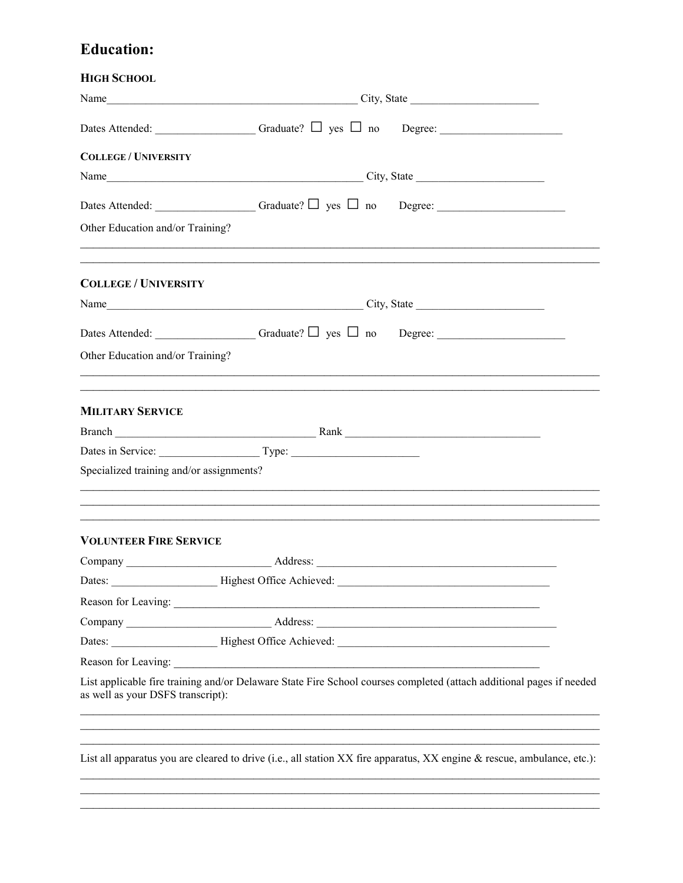## **Education:**

| <b>HIGH SCHOOL</b>                       |                                                                                                                         |  |  |
|------------------------------------------|-------------------------------------------------------------------------------------------------------------------------|--|--|
|                                          |                                                                                                                         |  |  |
|                                          |                                                                                                                         |  |  |
| <b>COLLEGE / UNIVERSITY</b>              |                                                                                                                         |  |  |
|                                          |                                                                                                                         |  |  |
|                                          |                                                                                                                         |  |  |
| Other Education and/or Training?         | ,我们也不能在这里的人,我们也不能在这里的人,我们也不能在这里的人,我们也不能在这里的人,我们也不能在这里的人,我们也不能在这里的人,我们也不能在这里的人,我们也                                       |  |  |
| <b>COLLEGE / UNIVERSITY</b>              | ,我们也不能在这里的人,我们也不能在这里的人,我们也不能在这里的人,我们也不能在这里的人,我们也不能在这里的人,我们也不能在这里的人,我们也不能在这里的人,我们也                                       |  |  |
|                                          |                                                                                                                         |  |  |
|                                          |                                                                                                                         |  |  |
| Other Education and/or Training?         |                                                                                                                         |  |  |
|                                          | ,我们也不能在这里的人,我们也不能在这里的人,我们也不能在这里的人,我们也不能在这里的人,我们也不能在这里的人,我们也不能在这里的人,我们也不能在这里的人,我们也                                       |  |  |
| <b>MILITARY SERVICE</b>                  |                                                                                                                         |  |  |
|                                          |                                                                                                                         |  |  |
|                                          |                                                                                                                         |  |  |
| Specialized training and/or assignments? |                                                                                                                         |  |  |
|                                          | ,我们也不能在这里的时候,我们也不能在这里的时候,我们也不能在这里的时候,我们也不能会在这里的时候,我们也不能会在这里的时候,我们也不能会在这里的时候,我们也不能                                       |  |  |
| <b>VOLUNTEER FIRE SERVICE</b>            |                                                                                                                         |  |  |
|                                          | Address:                                                                                                                |  |  |
|                                          | Dates: _______________________Highest Office Achieved: __________________________                                       |  |  |
|                                          |                                                                                                                         |  |  |
|                                          |                                                                                                                         |  |  |
|                                          |                                                                                                                         |  |  |
|                                          |                                                                                                                         |  |  |
| as well as your DSFS transcript):        | List applicable fire training and/or Delaware State Fire School courses completed (attach additional pages if needed    |  |  |
|                                          | List all apparatus you are cleared to drive (i.e., all station XX fire apparatus, XX engine & rescue, ambulance, etc.): |  |  |
|                                          |                                                                                                                         |  |  |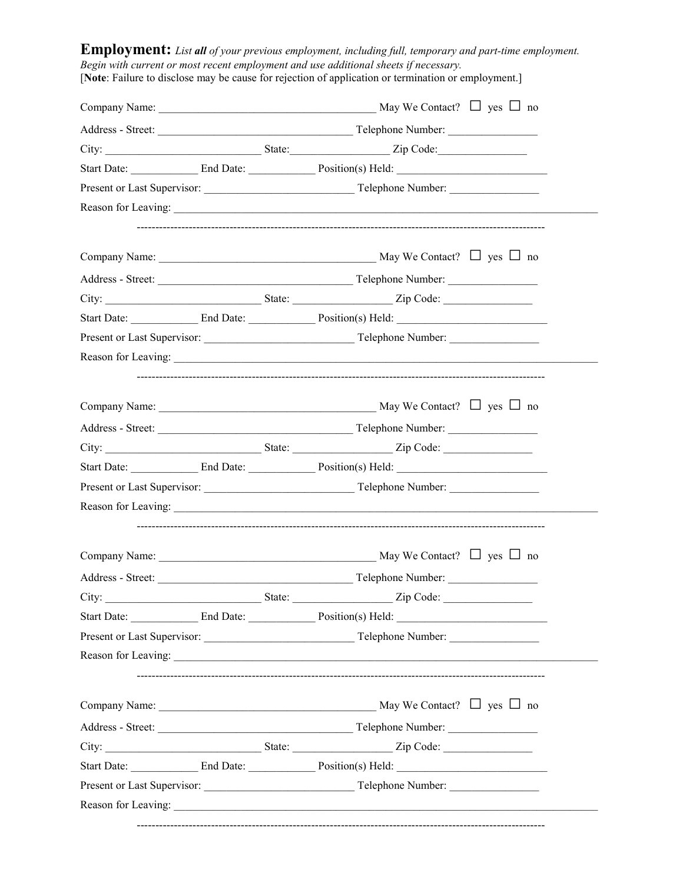**Employment:** *List all of your previous employment, including full, temporary and part-time employment. Begin with current or most recent employment and use additional sheets if necessary.* [**Note**: Failure to disclose may be cause for rejection of application or termination or employment.] Company Name:  $\Box$  yes  $\Box$  no Address - Street: <br>
Telephone Number: City: \_\_\_\_\_\_\_\_\_\_\_\_\_\_\_\_\_\_\_\_\_\_\_\_\_\_\_\_ State:\_\_\_\_\_\_\_\_\_\_\_\_\_\_\_\_\_\_ Zip Code:\_\_\_\_\_\_\_\_\_\_\_\_\_\_\_\_ Start Date: \_\_\_\_\_\_\_\_\_\_\_\_ End Date: \_\_\_\_\_\_\_\_\_\_\_\_ Position(s) Held: \_\_\_\_\_\_\_\_\_\_\_\_\_\_\_\_\_\_\_\_\_\_\_\_\_\_\_ Present or Last Supervisor: \_\_\_\_\_\_\_\_\_\_\_\_\_\_\_\_\_\_\_\_\_\_\_\_\_\_\_ Telephone Number: \_\_\_\_\_\_\_\_\_\_\_\_\_\_\_\_ Reason for Leaving: -------------------------------------------------------------------------------------------------------------- Company Name: \_\_\_\_\_\_\_\_\_\_\_\_\_\_\_\_\_\_\_\_\_\_\_\_\_\_\_\_\_\_\_\_\_\_\_\_\_\_\_ May We Contact? **□** yes **□** noAddress - Street: \_\_\_\_\_\_\_\_\_\_\_\_\_\_\_\_\_\_\_\_\_\_\_\_\_\_\_\_\_\_\_\_\_\_\_ Telephone Number: \_\_\_\_\_\_\_\_\_\_\_\_\_\_\_\_ City: State: State: Zip Code: Start Date: \_\_\_\_\_\_\_\_\_\_\_\_ End Date: \_\_\_\_\_\_\_\_\_\_\_\_ Position(s) Held: \_\_\_\_\_\_\_\_\_\_\_\_\_\_\_\_\_\_\_\_\_\_\_\_\_\_\_ Present or Last Supervisor: \_\_\_\_\_\_\_\_\_\_\_\_\_\_\_\_\_\_\_\_\_\_\_\_\_\_\_ Telephone Number: \_\_\_\_\_\_\_\_\_\_\_\_\_\_\_\_ Reason for Leaving: -------------------------------------------------------------------------------------------------------------- Company Name: \_\_\_\_\_\_\_\_\_\_\_\_\_\_\_\_\_\_\_\_\_\_\_\_\_\_\_\_\_\_\_\_\_\_\_\_\_\_\_ May We Contact? **□** yes **□** noAddress - Street: \_\_\_\_\_\_\_\_\_\_\_\_\_\_\_\_\_\_\_\_\_\_\_\_\_\_\_\_\_\_\_\_\_\_\_ Telephone Number: \_\_\_\_\_\_\_\_\_\_\_\_\_\_\_\_ City: State: State: Zip Code: Start Date: \_\_\_\_\_\_\_\_\_\_\_\_ End Date: \_\_\_\_\_\_\_\_\_\_\_\_ Position(s) Held: \_\_\_\_\_\_\_\_\_\_\_\_\_\_\_\_\_\_\_\_\_\_\_\_\_\_\_ Present or Last Supervisor: \_\_\_\_\_\_\_\_\_\_\_\_\_\_\_\_\_\_\_\_\_\_\_\_\_\_\_ Telephone Number: \_\_\_\_\_\_\_\_\_\_\_\_\_\_\_\_ Reason for Leaving: -------------------------------------------------------------------------------------------------------------- Company Name: \_\_\_\_\_\_\_\_\_\_\_\_\_\_\_\_\_\_\_\_\_\_\_\_\_\_\_\_\_\_\_\_\_\_\_\_\_\_\_ May We Contact? **□** yes **□** noAddress - Street: <br>
Telephone Number: City: \_\_\_\_\_\_\_\_\_\_\_\_\_\_\_\_\_\_\_\_\_\_\_\_\_\_\_\_ State: \_\_\_\_\_\_\_\_\_\_\_\_\_\_\_\_\_\_ Zip Code: \_\_\_\_\_\_\_\_\_\_\_\_\_\_\_\_ Start Date: \_\_\_\_\_\_\_\_\_\_\_\_\_\_ End Date: \_\_\_\_\_\_\_\_\_\_\_\_\_\_\_\_ Position(s) Held: \_\_\_\_\_\_\_\_\_\_\_\_\_\_\_\_\_\_\_\_\_\_\_\_\_\_\_\_ Present or Last Supervisor: \_\_\_\_\_\_\_\_\_\_\_\_\_\_\_\_\_\_\_\_\_\_\_\_\_\_\_ Telephone Number: \_\_\_\_\_\_\_\_\_\_\_\_\_\_\_\_ Reason for Leaving: -------------------------------------------------------------------------------------------------------------- Company Name: \_\_\_\_\_\_\_\_\_\_\_\_\_\_\_\_\_\_\_\_\_\_\_\_\_\_\_\_\_\_\_\_\_\_\_\_\_\_\_ May We Contact? **□** yes **□** noAddress - Street: \_\_\_\_\_\_\_\_\_\_\_\_\_\_\_\_\_\_\_\_\_\_\_\_\_\_\_\_\_\_\_\_\_\_\_ Telephone Number: \_\_\_\_\_\_\_\_\_\_\_\_\_\_\_\_ City: State: State: Zip Code: Start Date: \_\_\_\_\_\_\_\_\_\_\_\_ End Date: \_\_\_\_\_\_\_\_\_\_\_\_ Position(s) Held: \_\_\_\_\_\_\_\_\_\_\_\_\_\_\_\_\_\_\_\_\_\_\_\_\_\_\_ Present or Last Supervisor: \_\_\_\_\_\_\_\_\_\_\_\_\_\_\_\_\_\_\_\_\_\_\_\_\_\_\_ Telephone Number: \_\_\_\_\_\_\_\_\_\_\_\_\_\_\_\_ Reason for Leaving: --------------------------------------------------------------------------------------------------------------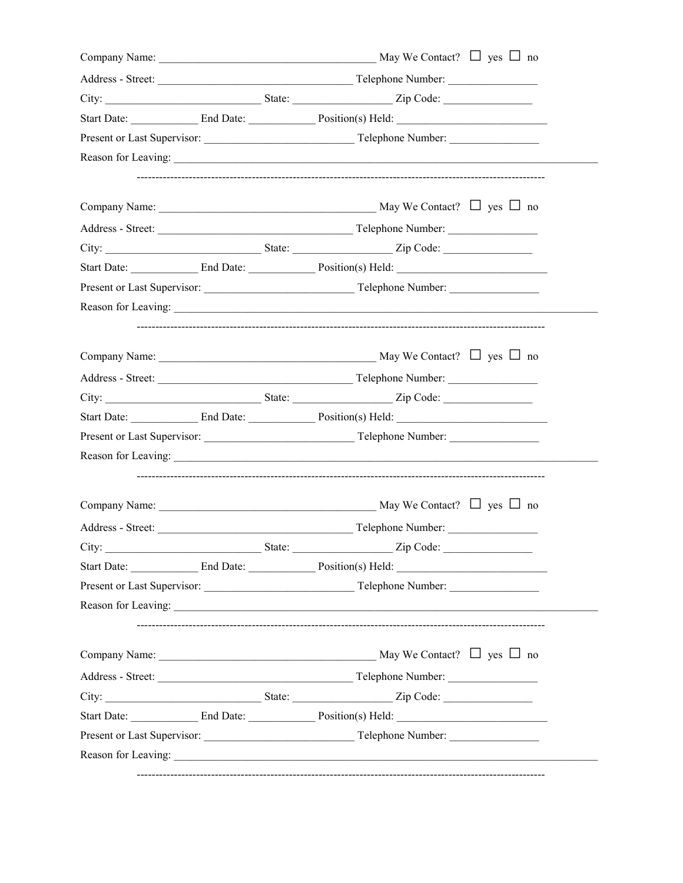|       |        | City: <u>City:</u> State: <u>State: Zip Code:</u>                                                                                                                                                                             |  |
|-------|--------|-------------------------------------------------------------------------------------------------------------------------------------------------------------------------------------------------------------------------------|--|
|       |        | Start Date: End Date: Position(s) Held:                                                                                                                                                                                       |  |
|       |        |                                                                                                                                                                                                                               |  |
|       |        |                                                                                                                                                                                                                               |  |
|       |        |                                                                                                                                                                                                                               |  |
|       |        |                                                                                                                                                                                                                               |  |
|       |        |                                                                                                                                                                                                                               |  |
|       |        |                                                                                                                                                                                                                               |  |
|       |        |                                                                                                                                                                                                                               |  |
|       |        | Reason for Leaving: 2008. The Contract of the Contract of the Contract of the Contract of the Contract of the Contract of the Contract of the Contract of the Contract of the Contract of the Contract of the Contract of the |  |
|       |        |                                                                                                                                                                                                                               |  |
|       |        |                                                                                                                                                                                                                               |  |
|       |        |                                                                                                                                                                                                                               |  |
|       |        |                                                                                                                                                                                                                               |  |
|       |        |                                                                                                                                                                                                                               |  |
|       |        |                                                                                                                                                                                                                               |  |
|       |        |                                                                                                                                                                                                                               |  |
|       |        |                                                                                                                                                                                                                               |  |
| City: | State: | Zip Code:                                                                                                                                                                                                                     |  |
|       |        |                                                                                                                                                                                                                               |  |
|       |        |                                                                                                                                                                                                                               |  |
|       |        |                                                                                                                                                                                                                               |  |
|       |        |                                                                                                                                                                                                                               |  |
|       |        |                                                                                                                                                                                                                               |  |
|       |        |                                                                                                                                                                                                                               |  |
|       |        | Start Date: End Date: Position(s) Held:                                                                                                                                                                                       |  |
|       |        |                                                                                                                                                                                                                               |  |
|       |        | Reason for Leaving:                                                                                                                                                                                                           |  |
|       |        |                                                                                                                                                                                                                               |  |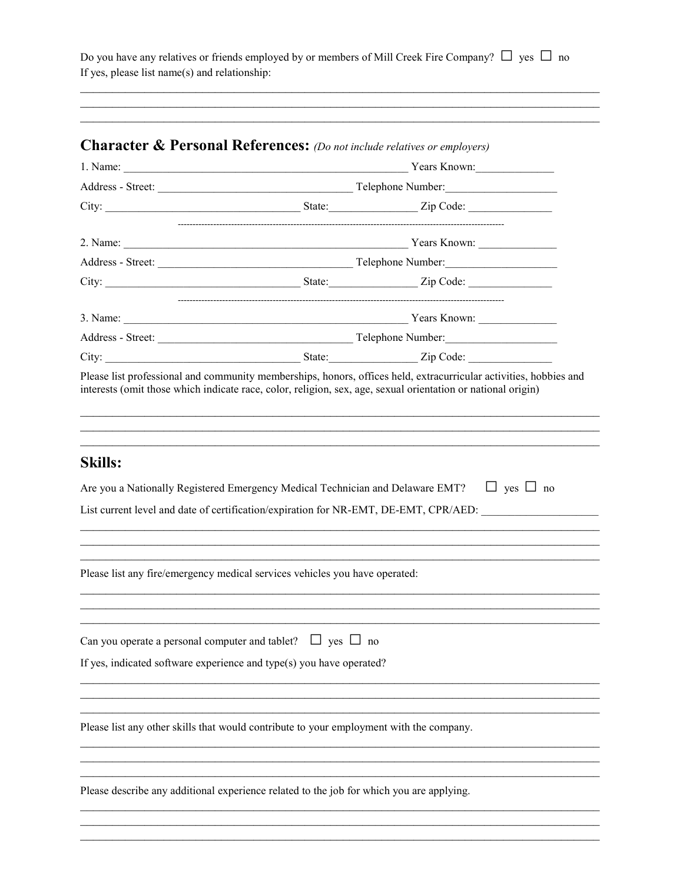Do you have any relatives or friends employed by or members of Mill Creek Fire Company?  $\Box$  yes  $\Box$  no If yes, please list name(s) and relationship:

|                                                                                         |  | <b>Character &amp; Personal References:</b> (Do not include relatives or employers)                                                                                                                                                 |  |
|-----------------------------------------------------------------------------------------|--|-------------------------------------------------------------------------------------------------------------------------------------------------------------------------------------------------------------------------------------|--|
|                                                                                         |  | 1. Name: Vears Known:                                                                                                                                                                                                               |  |
|                                                                                         |  |                                                                                                                                                                                                                                     |  |
|                                                                                         |  | City: <u>City:</u> City: City: City: City: City: City: Code: City: Code: City: Code: City: Code: City: Code: City: Code: City: Code: City: Code: City: Code: City: Code: City: City: Code: City: City: City: City: City: City: City |  |
|                                                                                         |  |                                                                                                                                                                                                                                     |  |
|                                                                                         |  |                                                                                                                                                                                                                                     |  |
|                                                                                         |  |                                                                                                                                                                                                                                     |  |
|                                                                                         |  |                                                                                                                                                                                                                                     |  |
|                                                                                         |  |                                                                                                                                                                                                                                     |  |
|                                                                                         |  |                                                                                                                                                                                                                                     |  |
|                                                                                         |  |                                                                                                                                                                                                                                     |  |
| <b>Skills:</b>                                                                          |  |                                                                                                                                                                                                                                     |  |
| Are you a Nationally Registered Emergency Medical Technician and Delaware EMT?          |  | $\Box$ yes $\Box$ no                                                                                                                                                                                                                |  |
|                                                                                         |  | List current level and date of certification/expiration for NR-EMT, DE-EMT, CPR/AED:                                                                                                                                                |  |
|                                                                                         |  |                                                                                                                                                                                                                                     |  |
|                                                                                         |  |                                                                                                                                                                                                                                     |  |
|                                                                                         |  |                                                                                                                                                                                                                                     |  |
| Please list any fire/emergency medical services vehicles you have operated:             |  |                                                                                                                                                                                                                                     |  |
|                                                                                         |  |                                                                                                                                                                                                                                     |  |
| Can you operate a personal computer and tablet? $\Box$ yes $\Box$ no                    |  |                                                                                                                                                                                                                                     |  |
| If yes, indicated software experience and type(s) you have operated?                    |  |                                                                                                                                                                                                                                     |  |
|                                                                                         |  |                                                                                                                                                                                                                                     |  |
| Please list any other skills that would contribute to your employment with the company. |  |                                                                                                                                                                                                                                     |  |
|                                                                                         |  |                                                                                                                                                                                                                                     |  |